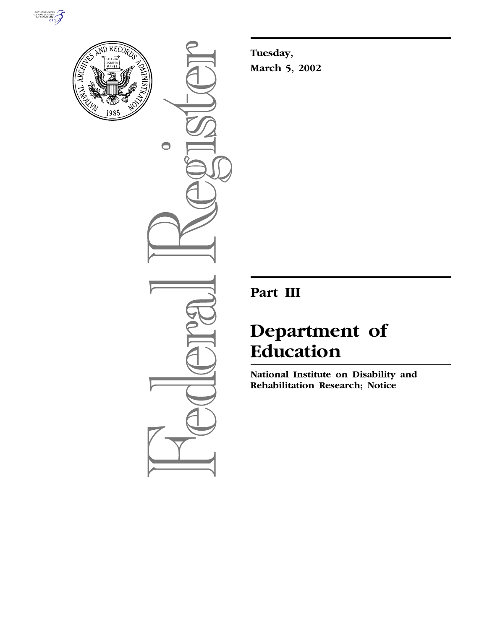



 $\bullet$ 

**Tuesday, March 5, 2002**

# **Part III**

# **Department of Education**

**National Institute on Disability and Rehabilitation Research; Notice**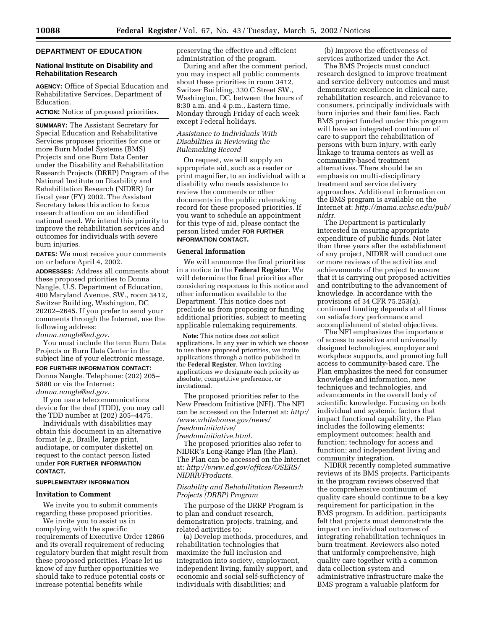# **DEPARTMENT OF EDUCATION**

### **National Institute on Disability and Rehabilitation Research**

**AGENCY:** Office of Special Education and Rehabilitative Services, Department of Education.

**ACTION:** Notice of proposed priorities.

**SUMMARY:** The Assistant Secretary for Special Education and Rehabilitative Services proposes priorities for one or more Burn Model Systems (BMS) Projects and one Burn Data Center under the Disability and Rehabilitation Research Projects (DRRP) Program of the National Institute on Disability and Rehabilitation Research (NIDRR) for fiscal year (FY) 2002. The Assistant Secretary takes this action to focus research attention on an identified national need. We intend this priority to improve the rehabilitation services and outcomes for individuals with severe burn injuries.

**DATES:** We must receive your comments on or before April 4, 2002.

**ADDRESSES:** Address all comments about these proposed priorities to Donna Nangle, U.S. Department of Education, 400 Maryland Avenue, SW., room 3412, Switzer Building, Washington, DC 20202–2645. If you prefer to send your comments through the Internet, use the following address:

*donna.nangle@ed.gov.*

You must include the term Burn Data Projects or Burn Data Center in the subject line of your electronic message. **FOR FURTHER INFORMATION CONTACT:**

Donna Nangle. Telephone: (202) 205– 5880 or via the Internet: *donna.nangle@ed.gov.*

If you use a telecommunications device for the deaf (TDD), you may call the TDD number at (202) 205–4475.

Individuals with disabilities may obtain this document in an alternative format (*e.g.,* Braille, large print, audiotape, or computer diskette) on request to the contact person listed under **FOR FURTHER INFORMATION CONTACT.**

#### **SUPPLEMENTARY INFORMATION**

#### **Invitation to Comment**

We invite you to submit comments regarding these proposed priorities.

We invite you to assist us in complying with the specific requirements of Executive Order 12866 and its overall requirement of reducing regulatory burden that might result from these proposed priorities. Please let us know of any further opportunities we should take to reduce potential costs or increase potential benefits while

preserving the effective and efficient administration of the program.

During and after the comment period, you may inspect all public comments about these priorities in room 3412, Switzer Building, 330 C Street SW., Washington, DC, between the hours of 8:30 a.m. and 4 p.m., Eastern time, Monday through Friday of each week except Federal holidays.

# *Assistance to Individuals With Disabilities in Reviewing the Rulemaking Record*

On request, we will supply an appropriate aid, such as a reader or print magnifier, to an individual with a disability who needs assistance to review the comments or other documents in the public rulemaking record for these proposed priorities. If you want to schedule an appointment for this type of aid, please contact the person listed under **FOR FURTHER INFORMATION CONTACT.**

# **General Information**

We will announce the final priorities in a notice in the **Federal Register**. We will determine the final priorities after considering responses to this notice and other information available to the Department. This notice does not preclude us from proposing or funding additional priorities, subject to meeting applicable rulemaking requirements.

**Note:** This notice does *not* solicit applications. In any year in which we choose to use these proposed priorities, we invite applications through a notice published in the **Federal Register**. When inviting applications we designate each priority as absolute, competitive preference, or invitational.

The proposed priorities refer to the New Freedom Initiative (NFI). The NFI can be accessed on the Internet at: *http:/ /www.whitehouse.gov/news/ freedominitiative/ freedominitiative.html.*

The proposed priorities also refer to NIDRR's Long-Range Plan (the Plan). The Plan can be accessed on the Internet at: *http://www.ed.gov/offices/OSERS/ NIDRR/Products.*

## *Disability and Rehabilitation Research Projects (DRRP) Program*

The purpose of the DRRP Program is to plan and conduct research, demonstration projects, training, and related activities to:

(a) Develop methods, procedures, and rehabilitation technologies that maximize the full inclusion and integration into society, employment, independent living, family support, and economic and social self-sufficiency of individuals with disabilities; and

(b) Improve the effectiveness of services authorized under the Act.

The BMS Projects must conduct research designed to improve treatment and service delivery outcomes and must demonstrate excellence in clinical care, rehabilitation research, and relevance to consumers, principally individuals with burn injuries and their families. Each BMS project funded under this program will have an integrated continuum of care to support the rehabilitation of persons with burn injury, with early linkage to trauma centers as well as community-based treatment alternatives. There should be an emphasis on multi-disciplinary treatment and service delivery approaches. Additional information on the BMS program is available on the Internet at: *http://mama.uchsc.edu/pub/ nidrr.*

The Department is particularly interested in ensuring appropriate expenditure of public funds. Not later than three years after the establishment of any project, NIDRR will conduct one or more reviews of the activities and achievements of the project to ensure that it is carrying out proposed activities and contributing to the advancement of knowledge. In accordance with the provisions of 34 CFR 75.253(a), continued funding depends at all times on satisfactory performance and accomplishment of stated objectives.

The NFI emphasizes the importance of access to assistive and universally designed technologies, employer and workplace supports, and promoting full access to community-based care. The Plan emphasizes the need for consumer knowledge and information, new techniques and technologies, and advancements in the overall body of scientific knowledge. Focusing on both individual and systemic factors that impact functional capability, the Plan includes the following elements: employment outcomes; health and function; technology for access and function; and independent living and community integration.

NIDRR recently completed summative reviews of its BMS projects. Participants in the program reviews observed that the comprehensive continuum of quality care should continue to be a key requirement for participation in the BMS program. In addition, participants felt that projects must demonstrate the impact on individual outcomes of integrating rehabilitation techniques in burn treatment. Reviewers also noted that uniformly comprehensive, high quality care together with a common data collection system and administrative infrastructure make the BMS program a valuable platform for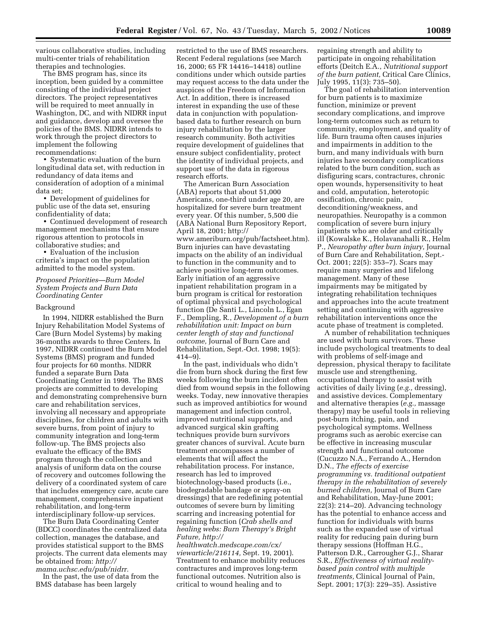various collaborative studies, including multi-center trials of rehabilitation therapies and technologies.

The BMS program has, since its inception, been guided by a committee consisting of the individual project directors. The project representatives will be required to meet annually in Washington, DC, and with NIDRR input and guidance, develop and oversee the policies of the BMS. NIDRR intends to work through the project directors to implement the following recommendations:

• Systematic evaluation of the burn longitudinal data set, with reduction in redundancy of data items and consideration of adoption of a minimal data set;

• Development of guidelines for public use of the data set, ensuring confidentiality of data;

• Continued development of research management mechanisms that ensure rigorous attention to protocols in collaborative studies; and

• Evaluation of the inclusion criteria's impact on the population admitted to the model system.

# *Proposed Priorities—Burn Model System Projects and Burn Data Coordinating Center*

#### Background

In 1994, NIDRR established the Burn Injury Rehabilitation Model Systems of Care (Burn Model Systems) by making 36-months awards to three Centers. In 1997, NIDRR continued the Burn Model Systems (BMS) program and funded four projects for 60 months. NIDRR funded a separate Burn Data Coordinating Center in 1998. The BMS projects are committed to developing and demonstrating comprehensive burn care and rehabilitation services, involving all necessary and appropriate disciplines, for children and adults with severe burns, from point of injury to community integration and long-term follow-up. The BMS projects also evaluate the efficacy of the BMS program through the collection and analysis of uniform data on the course of recovery and outcomes following the delivery of a coordinated system of care that includes emergency care, acute care management, comprehensive inpatient rehabilitation, and long-term interdisciplinary follow-up services.

The Burn Data Coordinating Center (BDCC) coordinates the centralized data collection, manages the database, and provides statistical support to the BMS projects. The current data elements may be obtained from: *http://*

*mama.uchsc.edu/pub/nidrr.* In the past, the use of data from the BMS database has been largely

restricted to the use of BMS researchers. Recent Federal regulations (see March 16, 2000; 65 FR 14416–14418) outline conditions under which outside parties may request access to the data under the auspices of the Freedom of Information Act. In addition, there is increased interest in expanding the use of these data in conjunction with populationbased data to further research on burn injury rehabilitation by the larger research community. Both activities require development of guidelines that ensure subject confidentiality, protect the identity of individual projects, and support use of the data in rigorous research efforts.

The American Burn Association (ABA) reports that about 51,000 Americans, one-third under age 20, are hospitalized for severe burn treatment every year. Of this number, 5,500 die (ABA National Burn Repository Report, April 18, 2001; http:// www.ameriburn.org/pub/factsheet.htm). Burn injuries can have devastating impacts on the ability of an individual to function in the community and to achieve positive long-term outcomes. Early initiation of an aggressive inpatient rehabilitation program in a burn program is critical for restoration of optimal physical and psychological function (De Santi L., Lincoln L., Egan F., Dempling, R., *Development of a burn rehabilitation unit: Impact on burn center length of stay and functional outcome,* Journal of Burn Care and Rehabilitation, Sept.-Oct. 1998; 19(5): 414–9).

In the past, individuals who didn't die from burn shock during the first few weeks following the burn incident often died from wound sepsis in the following weeks. Today, new innovative therapies such as improved antibiotics for wound management and infection control, improved nutritional supports, and advanced surgical skin grafting techniques provide burn survivors greater chances of survival. Acute burn treatment encompasses a number of elements that will affect the rehabilitation process. For instance, research has led to improved biotechnology-based products (i.e., biodegradable bandage or spray-on dressings) that are redefining potential outcomes of severe burn by limiting scarring and increasing potential for regaining function (*Crab shells and healing webs: Burn Therapy's Bright Future, http://*

*healthwatch.medscape.com/cx/ viewarticle/216114,* Sept. 19, 2001). Treatment to enhance mobility reduces contractures and improves long-term functional outcomes. Nutrition also is critical to wound healing and to

regaining strength and ability to participate in ongoing rehabilitation efforts (Deitch E.A., *Nutritional support of the burn patient,* Critical Care Clinics, July 1995, 11(3): 735–50).

The goal of rehabilitation intervention for burn patients is to maximize function, minimize or prevent secondary complications, and improve long-term outcomes such as return to community, employment, and quality of life. Burn trauma often causes injuries and impairments in addition to the burn, and many individuals with burn injuries have secondary complications related to the burn condition, such as disfiguring scars, contractures, chronic open wounds, hypersensitivity to heat and cold, amputation, heterotopic ossification, chronic pain, deconditioning/weakness, and neuropathies. Neuropathy is a common complication of severe burn injury inpatients who are older and critically ill (Kowalske K., Holavanahalli R., Helm P., *Neuropathy after burn injury,* Journal of Burn Care and Rehabilitation, Sept.- Oct. 2001; 22(5): 353–7). Scars may require many surgeries and lifelong management. Many of these impairments may be mitigated by integrating rehabilitation techniques and approaches into the acute treatment setting and continuing with aggressive rehabilitation interventions once the acute phase of treatment is completed.

A number of rehabilitation techniques are used with burn survivors. These include psychological treatments to deal with problems of self-image and depression, physical therapy to facilitate muscle use and strengthening, occupational therapy to assist with activities of daily living (*e.g.,* dressing), and assistive devices. Complementary and alternative therapies (*e.g.,* massage therapy) may be useful tools in relieving post-burn itching, pain, and psychological symptoms. Wellness programs such as aerobic exercise can be effective in increasing muscular strength and functional outcome (Cucuzzo N.A., Ferrando A., Herndon D.N., *The effects of exercise programming vs. traditional outpatient therapy in the rehabilitation of severely burned children,* Journal of Burn Care and Rehabilitation, May-June 2001; 22(3): 214–20). Advancing technology has the potential to enhance access and function for individuals with burns such as the expanded use of virtual reality for reducing pain during burn therapy sessions (Hoffman H.G., Patterson D.R., Carrougher G.J., Sharar S.R., *Effectiveness of virtual realitybased pain control with multiple treatments,* Clinical Journal of Pain, Sept. 2001; 17(3): 229–35). Assistive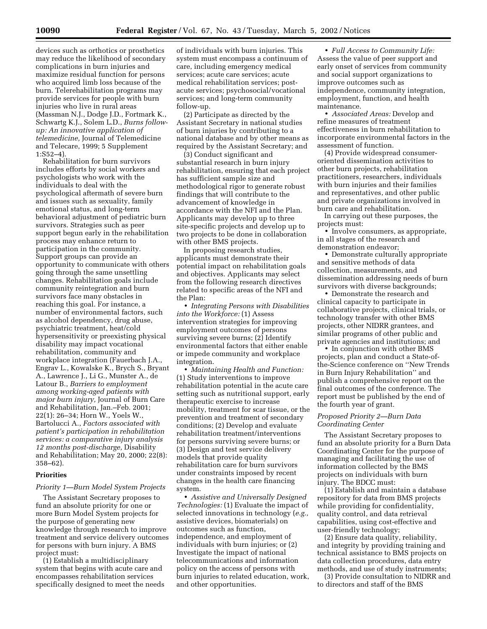devices such as orthotics or prosthetics may reduce the likelihood of secondary complications in burn injuries and maximize residual function for persons who acquired limb loss because of the burn. Telerehabilitation programs may provide services for people with burn injuries who live in rural areas (Massman N.J., Dodge J.D., Fortmark K., Schwartg K.J., Solem L.D., *Burns followup: An innovative application of telemedicine,* Journal of Telemedicine and Telecare, 1999; 5 Supplement 1:S52–4).

Rehabilitation for burn survivors includes efforts by social workers and psychologists who work with the individuals to deal with the psychological aftermath of severe burn and issues such as sexuality, family emotional status, and long-term behavioral adjustment of pediatric burn survivors. Strategies such as peer support begun early in the rehabilitation process may enhance return to participation in the community. Support groups can provide an opportunity to communicate with others going through the same unsettling changes. Rehabilitation goals include community reintegration and burn survivors face many obstacles in reaching this goal. For instance, a number of environmental factors, such as alcohol dependency, drug abuse, psychiatric treatment, heat/cold hypersensitivity or preexisting physical disability may impact vocational rehabilitation, community and workplace integration (Fauerbach J.A., Engrav L., Kowalske K., Brych S., Bryant A., Lawrence J., Li G., Munster A., de Latour B., *Barriers to employment among working-aged patients with major burn injury,* Journal of Burn Care and Rehabilitation, Jan.–Feb. 2001; 22(1): 26–34; Horn W., Yoels W., Bartolucci A., *Factors associated with patient's participation in rehabilitation services: a comparative injury analysis 12 months post-discharge,* Disability and Rehabilitation; May 20, 2000; 22(8): 358–62).

#### **Priorities**

#### *Priority 1—Burn Model System Projects*

The Assistant Secretary proposes to fund an absolute priority for one or more Burn Model System projects for the purpose of generating new knowledge through research to improve treatment and service delivery outcomes for persons with burn injury. A BMS project must:

(1) Establish a multidisciplinary system that begins with acute care and encompasses rehabilitation services specifically designed to meet the needs

of individuals with burn injuries. This system must encompass a continuum of care, including emergency medical services; acute care services; acute medical rehabilitation services; postacute services; psychosocial/vocational services; and long-term community follow-up.

(2) Participate as directed by the Assistant Secretary in national studies of burn injuries by contributing to a national database and by other means as required by the Assistant Secretary; and

(3) Conduct significant and substantial research in burn injury rehabilitation, ensuring that each project has sufficient sample size and methodological rigor to generate robust findings that will contribute to the advancement of knowledge in accordance with the NFI and the Plan. Applicants may develop up to three site-specific projects and develop up to two projects to be done in collaboration with other BMS projects.

In proposing research studies, applicants must demonstrate their potential impact on rehabilitation goals and objectives. Applicants may select from the following research directives related to specific areas of the NFI and the Plan:

• *Integrating Persons with Disabilities into the Workforce:* (1) Assess intervention strategies for improving employment outcomes of persons surviving severe burns; (2) Identify environmental factors that either enable or impede community and workplace integration.

• *Maintaining Health and Function:* (1) Study interventions to improve rehabilitation potential in the acute care setting such as nutritional support, early therapeutic exercise to increase mobility, treatment for scar tissue, or the prevention and treatment of secondary conditions; (2) Develop and evaluate rehabilitation treatment/interventions for persons surviving severe burns; or (3) Design and test service delivery models that provide quality rehabilitation care for burn survivors under constraints imposed by recent changes in the health care financing system.

• *Assistive and Universally Designed Technologies:* (1) Evaluate the impact of selected innovations in technology (*e.g.,* assistive devices, biomaterials) on outcomes such as function, independence, and employment of individuals with burn injuries; or (2) Investigate the impact of national telecommunications and information policy on the access of persons with burn injuries to related education, work, and other opportunities.

• *Full Access to Community Life:* Assess the value of peer support and early onset of services from community and social support organizations to improve outcomes such as independence, community integration, employment, function, and health maintenance.

• *Associated Areas:* Develop and refine measures of treatment effectiveness in burn rehabilitation to incorporate environmental factors in the assessment of function.

(4) Provide widespread consumeroriented dissemination activities to other burn projects, rehabilitation practitioners, researchers, individuals with burn injuries and their families and representatives, and other public and private organizations involved in burn care and rehabilitation.

In carrying out these purposes, the projects must:

• Involve consumers, as appropriate, in all stages of the research and demonstration endeavor;

• Demonstrate culturally appropriate and sensitive methods of data collection, measurements, and dissemination addressing needs of burn survivors with diverse backgrounds;

• Demonstrate the research and clinical capacity to participate in collaborative projects, clinical trials, or technology transfer with other BMS projects, other NIDRR grantees, and similar programs of other public and private agencies and institutions; and

• In conjunction with other BMS projects, plan and conduct a State-ofthe-Science conference on ''New Trends in Burn Injury Rehabilitation'' and publish a comprehensive report on the final outcomes of the conference. The report must be published by the end of the fourth year of grant.

## *Proposed Priority 2—Burn Data Coordinating Center*

The Assistant Secretary proposes to fund an absolute priority for a Burn Data Coordinating Center for the purpose of managing and facilitating the use of information collected by the BMS projects on individuals with burn injury. The BDCC must:

(1) Establish and maintain a database repository for data from BMS projects while providing for confidentiality, quality control, and data retrieval capabilities, using cost-effective and user-friendly technology;

(2) Ensure data quality, reliability, and integrity by providing training and technical assistance to BMS projects on data collection procedures, data entry methods, and use of study instruments;

(3) Provide consultation to NIDRR and to directors and staff of the BMS